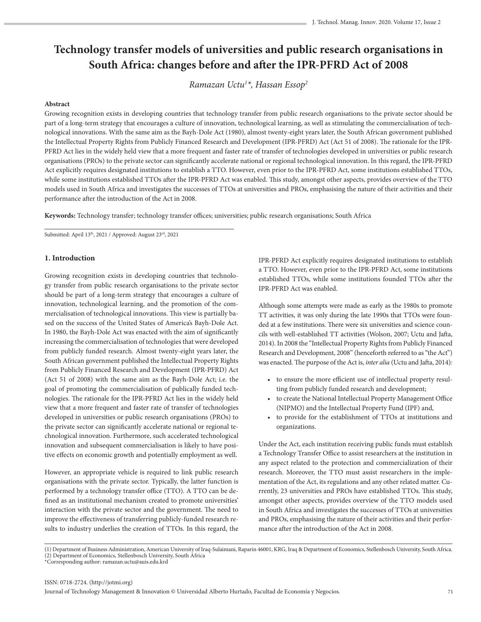# **Technology transfer models of universities and public research organisations in South Africa: changes before and after the IPR-PFRD Act of 2008**

*Ramazan Uctu1 \*, Hassan Essop2*

## **Abstract**

Growing recognition exists in developing countries that technology transfer from public research organisations to the private sector should be part of a long-term strategy that encourages a culture of innovation, technological learning, as well as stimulating the commercialisation of technological innovations. With the same aim as the Bayh-Dole Act (1980), almost twenty-eight years later, the South African government published the Intellectual Property Rights from Publicly Financed Research and Development (IPR-PFRD) Act (Act 51 of 2008). The rationale for the IPR-PFRD Act lies in the widely held view that a more frequent and faster rate of transfer of technologies developed in universities or public research organisations (PROs) to the private sector can significantly accelerate national or regional technological innovation. In this regard, the IPR-PFRD Act explicitly requires designated institutions to establish a TTO. However, even prior to the IPR-PFRD Act, some institutions established TTOs, while some institutions established TTOs after the IPR-PFRD Act was enabled. This study, amongst other aspects, provides overview of the TTO models used in South Africa and investigates the successes of TTOs at universities and PROs, emphasising the nature of their activities and their performance after the introduction of the Act in 2008.

**Keywords:** Technology transfer; technology transfer offices; universities; public research organisations; South Africa

Submitted: April 13th, 2021 / Approved: August 23rd, 2021

#### **1. Introduction**

Growing recognition exists in developing countries that technology transfer from public research organisations to the private sector should be part of a long-term strategy that encourages a culture of innovation, technological learning, and the promotion of the commercialisation of technological innovations. This view is partially based on the success of the United States of America's Bayh-Dole Act. In 1980, the Bayh-Dole Act was enacted with the aim of significantly increasing the commercialisation of technologies that were developed from publicly funded research. Almost twenty-eight years later, the South African government published the Intellectual Property Rights from Publicly Financed Research and Development (IPR-PFRD) Act (Act 51 of 2008) with the same aim as the Bayh-Dole Act; i.e. the goal of promoting the commercialisation of publically funded technologies. The rationale for the IPR-PFRD Act lies in the widely held view that a more frequent and faster rate of transfer of technologies developed in universities or public research organisations (PROs) to the private sector can significantly accelerate national or regional technological innovation. Furthermore, such accelerated technological innovation and subsequent commercialisation is likely to have positive effects on economic growth and potentially employment as well.

However, an appropriate vehicle is required to link public research organisations with the private sector. Typically, the latter function is performed by a technology transfer office (TTO). A TTO can be defined as an institutional mechanism created to promote universities' interaction with the private sector and the government. The need to improve the effectiveness of transferring publicly-funded research results to industry underlies the creation of TTOs. In this regard, the IPR-PFRD Act explicitly requires designated institutions to establish a TTO. However, even prior to the IPR-PFRD Act, some institutions established TTOs, while some institutions founded TTOs after the IPR-PFRD Act was enabled.

Although some attempts were made as early as the 1980s to promote TT activities, it was only during the late 1990s that TTOs were founded at a few institutions. There were six universities and science councils with well-established TT activities (Wolson, 2007; Uctu and Jafta, 2014). In 2008 the "Intellectual Property Rights from Publicly Financed Research and Development, 2008" (henceforth referred to as "the Act") was enacted. The purpose of the Act is, *inter alia* (Uctu and Jafta, 2014)*:*

- to ensure the more efficient use of intellectual property resulting from publicly funded research and development;
- to create the National Intellectual Property Management Office (NIPMO) and the Intellectual Property Fund (IPF) and,
- to provide for the establishment of TTOs at institutions and organizations.

Under the Act, each institution receiving public funds must establish a Technology Transfer Office to assist researchers at the institution in any aspect related to the protection and commercialization of their research. Moreover, the TTO must assist researchers in the implementation of the Act, its regulations and any other related matter. Currently, 23 universities and PROs have established TTOs. This study, amongst other aspects, provides overview of the TTO models used in South Africa and investigates the successes of TTOs at universities and PROs, emphasising the nature of their activities and their performance after the introduction of the Act in 2008.

<sup>(1)</sup> Department of Business Administration, American University of Iraq-Sulaimani, Raparin 46001, KRG, Iraq & Department of Economics, Stellenbosch University, South Africa. (2) Department of Economics, Stellenbosch University, South Africa

<sup>\*</sup>Corresponding author: ramazan.uctu@auis.edu.krd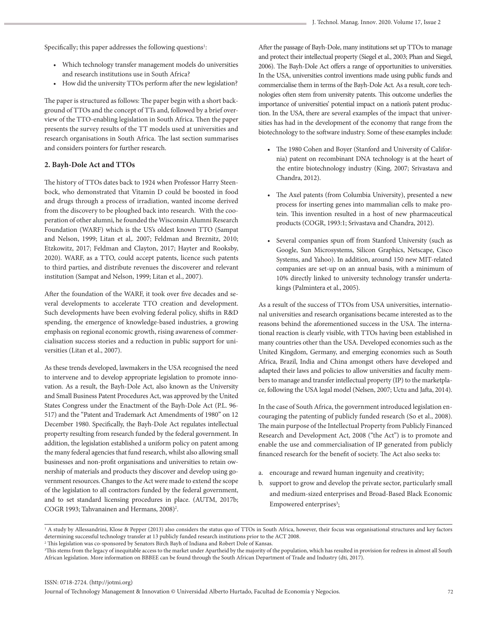Specifically; this paper addresses the following questions<sup>1</sup>:

- Which technology transfer management models do universities and research institutions use in South Africa?
- How did the university TTOs perform after the new legislation?

The paper is structured as follows: The paper begin with a short background of TTOs and the concept of TTs and, followed by a brief overview of the TTO-enabling legislation in South Africa. Then the paper presents the survey results of the TT models used at universities and research organisations in South Africa. The last section summarises and considers pointers for further research.

### **2. Bayh-Dole Act and TTOs**

The history of TTOs dates back to 1924 when Professor Harry Steenbock, who demonstrated that Vitamin D could be boosted in food and drugs through a process of irradiation, wanted income derived from the discovery to be ploughed back into research. With the cooperation of other alumni, he founded the Wisconsin Alumni Research Foundation (WARF) which is the US's oldest known TTO (Sampat and Nelson, 1999; Litan et al,. 2007; Feldman and Breznitz, 2010; Etzkowitz, 2017; Feldman and Clayton, 2017; Hayter and Rooksby, 2020). WARF, as a TTO, could accept patents, licence such patents to third parties, and distribute revenues the discoverer and relevant institution (Sampat and Nelson, 1999; Litan et al., 2007).

After the foundation of the WARF, it took over five decades and several developments to accelerate TTO creation and development. Such developments have been evolving federal policy, shifts in R&D spending, the emergence of knowledge-based industries, a growing emphasis on regional economic growth, rising awareness of commercialisation success stories and a reduction in public support for universities (Litan et al., 2007).

As these trends developed, lawmakers in the USA recognised the need to intervene and to develop appropriate legislation to promote innovation. As a result, the Bayh-Dole Act, also known as the University and Small Business Patent Procedures Act, was approved by the United States Congress under the Enactment of the Bayh-Dole Act (P.L. 96- 517) and the "Patent and Trademark Act Amendments of 1980" on 12 December 1980. Specifically, the Bayh-Dole Act regulates intellectual property resulting from research funded by the federal government. In addition, the legislation established a uniform policy on patent among the many federal agencies that fund research, whilst also allowing small businesses and non-profit organisations and universities to retain ownership of materials and products they discover and develop using government resources. Changes to the Act were made to extend the scope of the legislation to all contractors funded by the federal government, and to set standard licensing procedures in place. (AUTM, 2017b; COGR 1993; Tahvanainen and Hermans, 2008)<sup>2</sup>.

After the passage of Bayh-Dole, many institutions set up TTOs to manage and protect their intellectual property (Siegel et al., 2003; Phan and Siegel, 2006). The Bayh-Dole Act offers a range of opportunities to universities. In the USA, universities control inventions made using public funds and commercialise them in terms of the Bayh-Dole Act. As a result, core technologies often stem from university patents. This outcome underlies the importance of universities' potential impact on a nation's patent production. In the USA, there are several examples of the impact that universities has had in the development of the economy that range from the biotechnology to the software industry. Some of these examples include:

- The 1980 Cohen and Boyer (Stanford and University of California) patent on recombinant DNA technology is at the heart of the entire biotechnology industry (King, 2007; Srivastava and Chandra, 2012).
- The Axel patents (from Columbia University), presented a new process for inserting genes into mammalian cells to make protein. This invention resulted in a host of new pharmaceutical products (COGR, 1993:1; Srivastava and Chandra, 2012).
- Several companies spun off from Stanford University (such as Google, Sun Microsystems, Silicon Graphics, Netscape, Cisco Systems, and Yahoo). In addition, around 150 new MIT-related companies are set-up on an annual basis, with a minimum of 10% directly linked to university technology transfer undertakings (Palmintera et al., 2005).

As a result of the success of TTOs from USA universities, international universities and research organisations became interested as to the reasons behind the aforementioned success in the USA. The international reaction is clearly visible, with TTOs having been established in many countries other than the USA. Developed economies such as the United Kingdom, Germany, and emerging economies such as South Africa, Brazil, India and China amongst others have developed and adapted their laws and policies to allow universities and faculty members to manage and transfer intellectual property (IP) to the marketplace, following the USA legal model (Nelsen, 2007; Uctu and Jafta, 2014).

In the case of South Africa, the government introduced legislation encouraging the patenting of publicly funded research (So et al., 2008). The main purpose of the Intellectual Property from Publicly Financed Research and Development Act, 2008 ("the Act") is to promote and enable the use and commercialisation of IP generated from publicly financed research for the benefit of society. The Act also seeks to:

- a. encourage and reward human ingenuity and creativity;
- b. support to grow and develop the private sector, particularly small and medium-sized enterprises and Broad-Based Black Economic Empowered enterprises<sup>3</sup>;

<sup>&</sup>lt;sup>1</sup> A study by Allessandrini, Klose & Pepper (2013) also considers the status quo of TTOs in South Africa, however, their focus was organisational structures and key factors determining successful technology transfer at 13 publicly funded research institutions prior to the ACT 2008.

<sup>2</sup> This legislation was co-sponsored by Senators Birch Bayh of Indiana and Robert Dole of Kansas.

<sup>3</sup> This stems from the legacy of inequitable access to the market under Apartheid by the majority of the population, which has resulted in provision for redress in almost all South African legislation. More information on BBBEE can be found through the South African Department of Trade and Industry (dti, 2017).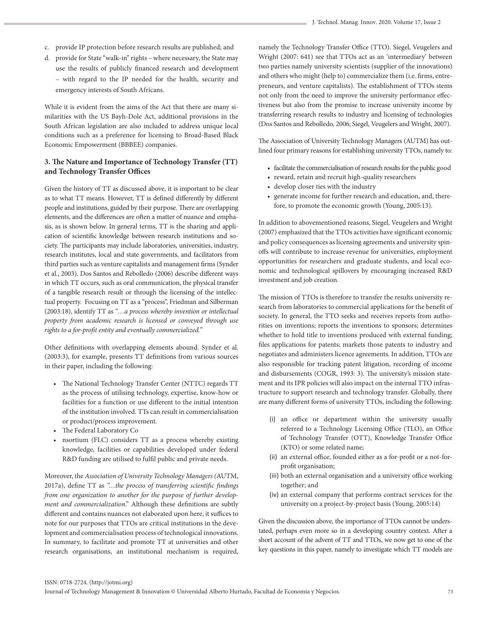- c. provide IP protection before research results are published; and
- d. provide for State "walk-in" rights where necessary, the State may use the results of publicly financed research and development – with regard to the IP needed for the health, security and emergency interests of South Africans.

While it is evident from the aims of the Act that there are many similarities with the US Bayh-Dole Act, additional provisions in the South African legislation are also included to address unique local conditions such as a preference for licensing to Broad-Based Black Economic Empowerment (BBBEE) companies.

## **3. The Nature and Importance of Technology Transfer (TT) and Technology Transfer Offices**

Given the history of TT as discussed above, it is important to be clear as to what TT means. However, TT is defined differently by different people and institutions, guided by their purpose. There are overlapping elements, and the differences are often a matter of nuance and emphasis, as is shown below. In general terms, TT is the sharing and application of scientific knowledge between research institutions and society. The participants may include laboratories, universities, industry, research institutes, local and state governments, and facilitators from third parties such as venture capitalists and management firms (Synder et al., 2003). Dos Santos and Rebolledo (2006) describe different ways in which TT occurs, such as oral communication, the physical transfer of a tangible research result or through the licensing of the intellectual property. Focusing on TT as a "process", Friedman and Silberman (2003:18), identify TT as "*…a process whereby invention or intellectual property from academic research is licensed or conveyed through use rights to a for-profit entity and eventually commercialized.*"

Other definitions with overlapping elements abound. Synder et al. (2003:3), for example, presents TT definitions from various sources in their paper, including the following:

- The National Technology Transfer Center (NTTC) regards TT as the process of utilising technology, expertise, know-how or facilities for a function or use different to the initial intention of the institution involved. TTs can result in commercialisation or product/process improvement.
- The Federal Laboratory Co
- nsortium (FLC) considers TT as a process whereby existing knowledge, facilities or capabilities developed under federal R&D funding are utilised to fulfil public and private needs.

Moreover, the *Association of University Technology Managers (*AUTM, 2017a), define TT as *"…the process of transferring scientific findings from one organization to another for the purpose of further development and commercialization*." Although these definitions are subtly different and contains nuances not elaborated upon here, it suffices to note for our purposes that TTOs are critical institutions in the development and commercialisation process of technological innovations. In summary, to facilitate and promote TT at universities and other research organisations, an institutional mechanism is required, namely the Technology Transfer Office (TTO). Siegel, Veugelers and Wright (2007: 641) see that TTOs act as an 'intermediary' between two parties namely university scientists (supplier of the innovations) and others who might (help to) commercialize them (i.e. firms, entrepreneurs, and venture capitalists). The establishment of TTOs stems not only from the need to improve the university performance effectiveness but also from the promise to increase university income by transferring research results to industry and licensing of technologies (Dos Santos and Rebolledo, 2006; Siegel, Veugelers and Wright, 2007).

The Association of University Technology Managers (AUTM) has outlined four primary reasons for establishing university TTOs, namely to:

- facilitate the commercialisation of research results for the public good
- reward, retain and recruit high-quality researchers
- develop closer ties with the industry
- generate income for further research and education, and, therefore, to promote the economic growth (Young, 2005:13).

In addition to abovementioned reasons, Siegel, Veugelers and Wright (2007) emphasized that the TTOs activities have significant economic and policy consequences as licensing agreements and university spinoffs will contribute to increase revenue for universities, employment opportunities for researchers and graduate students, and local economic and technological spillovers by encouraging increased R&D investment and job creation.

The mission of TTOs is therefore to transfer the results university research from laboratories to commercial applications for the benefit of society. In general, the TTO seeks and receives reports from authorities on inventions; reports the inventions to sponsors; determines whether to hold title to inventions produced with external funding; files applications for patents; markets those patents to industry and negotiates and administers licence agreements. In addition, TTOs are also responsible for tracking patent litigation, recording of income and disbursements (COGR, 1993: 3). The university's mission statement and its IPR policies will also impact on the internal TTO infrastructure to support research and technology transfer. Globally, there are many different forms of university TTOs, including the following:

- (i) an office or department within the university usually referred to a Technology Licensing Office (TLO), an Office of Technology Transfer (OTT), Knowledge Transfer Office (KTO) or some related name;
- (ii) an external office, founded either as a for-profit or a not-forprofit organisation;
- (iii) both an external organisation and a university office working together; and
- (iv) an external company that performs contract services for the university on a project-by-project basis (Young, 2005:14)

Given the discussion above, the importance of TTOs cannot be understated, perhaps even more so in a developing country context. After a short account of the advent of TT and TTOs, we now get to one of the key questions in this paper, namely to investigate which TT models are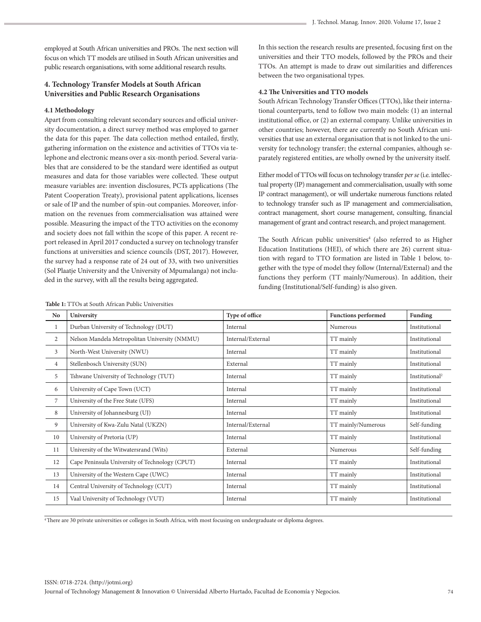employed at South African universities and PROs. The next section will focus on which TT models are utilised in South African universities and public research organisations, with some additional research results.

## **4. Technology Transfer Models at South African Universities and Public Research Organisations**

#### **4.1 Methodology**

Apart from consulting relevant secondary sources and official university documentation, a direct survey method was employed to garner the data for this paper. The data collection method entailed, firstly, gathering information on the existence and activities of TTOs via telephone and electronic means over a six-month period. Several variables that are considered to be the standard were identified as output measures and data for those variables were collected. These output measure variables are: invention disclosures, PCTs applications (The Patent Cooperation Treaty), provisional patent applications, licenses or sale of IP and the number of spin-out companies. Moreover, information on the revenues from commercialisation was attained were possible. Measuring the impact of the TTO activities on the economy and society does not fall within the scope of this paper. A recent report released in April 2017 conducted a survey on technology transfer functions at universities and science councils (DST, 2017). However, the survey had a response rate of 24 out of 33, with two universities (Sol Plaatje University and the University of Mpumalanga) not included in the survey, with all the results being aggregated.

In this section the research results are presented, focusing first on the universities and their TTO models, followed by the PROs and their TTOs. An attempt is made to draw out similarities and differences between the two organisational types.

#### **4.2 The Universities and TTO models**

South African Technology Transfer Offices (TTOs), like their international counterparts, tend to follow two main models: (1) an internal institutional office, or (2) an external company. Unlike universities in other countries; however, there are currently no South African universities that use an external organisation that is not linked to the university for technology transfer; the external companies, although separately registered entities, are wholly owned by the university itself.

Either model of TTOs will focus on technology transfer *per se* (i.e. intellectual property (IP) management and commercialisation, usually with some IP contract management), or will undertake numerous functions related to technology transfer such as IP management and commercialisation, contract management, short course management, consulting, financial management of grant and contract research, and project management.

The South African public universities<sup>4</sup> (also referred to as Higher Education Institutions (HEI), of which there are 26) current situation with regard to TTO formation are listed in Table 1 below, together with the type of model they follow (Internal/External) and the functions they perform (TT mainly/Numerous). In addition, their funding (Institutional/Self-funding) is also given.

| No             | University                                     | Type of office    | <b>Functions performed</b> | Funding                    |
|----------------|------------------------------------------------|-------------------|----------------------------|----------------------------|
| $\mathbf{1}$   | Durban University of Technology (DUT)          | Internal          | Numerous                   | Institutional              |
| $\mathbf{2}$   | Nelson Mandela Metropolitan University (NMMU)  | Internal/External | TT mainly                  | Institutional              |
| $\mathfrak{Z}$ | North-West University (NWU)                    | Internal          | TT mainly                  | Institutional              |
| $\overline{4}$ | Stellenbosch University (SUN)                  | External          | TT mainly                  | Institutional              |
| 5              | Tshwane University of Technology (TUT)         | Internal          | TT mainly                  | Institutional <sup>2</sup> |
| 6              | University of Cape Town (UCT)                  | Internal          | TT mainly                  | Institutional              |
| 7              | University of the Free State (UFS)             | Internal          | TT mainly                  | Institutional              |
| 8              | University of Johannesburg (UJ)                | Internal          | TT mainly                  | Institutional              |
| 9              | University of Kwa-Zulu Natal (UKZN)            | Internal/External | TT mainly/Numerous         | Self-funding               |
| 10             | University of Pretoria (UP)                    | Internal          | TT mainly                  | Institutional              |
| 11             | University of the Witwatersrand (Wits)         | External          | Numerous                   | Self-funding               |
| 12             | Cape Peninsula University of Technology (CPUT) | Internal          | TT mainly                  | Institutional              |
| 13             | University of the Western Cape (UWC)           | Internal          | TT mainly                  | Institutional              |
| 14             | Central University of Technology (CUT)         | Internal          | TT mainly                  | Institutional              |
| 15             | Vaal University of Technology (VUT)            | Internal          | TT mainly                  | Institutional              |

**Table 1:** TTOs at South African Public Universities

4 There are 30 private universities or colleges in South Africa, with most focusing on undergraduate or diploma degrees.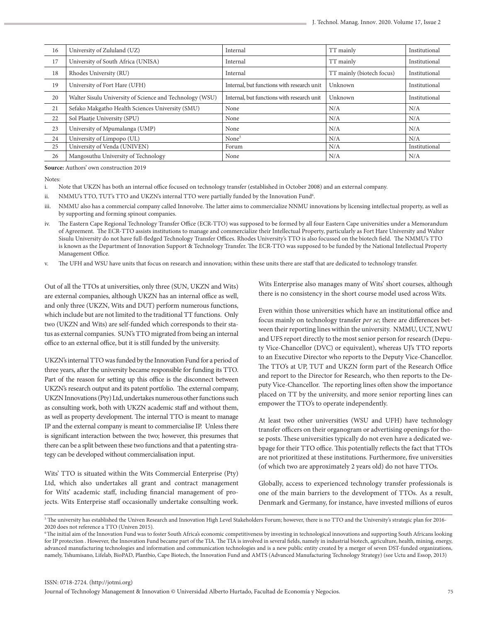| 16 | University of Zululand (UZ)                              | Internal                                   | TT mainly                 | Institutional |
|----|----------------------------------------------------------|--------------------------------------------|---------------------------|---------------|
| 17 | University of South Africa (UNISA)                       | Internal                                   | TT mainly                 | Institutional |
| 18 | Rhodes University (RU)                                   | Internal                                   | TT mainly (biotech focus) | Institutional |
| 19 | University of Fort Hare (UFH)                            | Internal, but functions with research unit | Unknown                   | Institutional |
| 20 | Walter Sisulu University of Science and Technology (WSU) | Internal, but functions with research unit | Unknown                   | Institutional |
| 21 | Sefako Makgatho Health Sciences University (SMU)         | None                                       | N/A                       | N/A           |
| 22 | Sol Plaatje University (SPU)                             | None                                       | N/A                       | N/A           |
| 23 | University of Mpumalanga (UMP)                           | None                                       | N/A                       | N/A           |
| 24 | University of Limpopo (UL)                               | None <sup>5</sup>                          | N/A                       | N/A           |
| 25 | University of Venda (UNIVEN)                             | Forum                                      | N/A                       | Institutional |
| 26 | Mangosuthu University of Technology                      | None                                       | N/A                       | N/A           |

**Source:** Authors' own construction 2019

Notes:

- i. Note that UKZN has both an internal office focused on technology transfer (established in October 2008) and an external company.
- ii. NMMU's TTO, TUT's TTO and UKZN's internal TTO were partially funded by the Innovation Fund<sup>6</sup>.
- iii. NMMU also has a commercial company called Innovolve. The latter aims to commercialize NNMU innovations by licensing intellectual property, as well as by supporting and forming spinout companies.
- iv. The Eastern Cape Regional Technology Transfer Office (ECR-TTO) was supposed to be formed by all four Eastern Cape universities under a Memorandum of Agreement. The ECR-TTO assists institutions to manage and commercialize their Intellectual Property, particularly as Fort Hare University and Walter Sisulu University do not have full-fledged Technology Transfer Offices. Rhodes University's TTO is also focussed on the biotech field. The NMMU's TTO is known as the Department of Innovation Support & Technology Transfer. The ECR-TTO was supposed to be funded by the National Intellectual Property Management Office.
- v. The UFH and WSU have units that focus on research and innovation; within these units there are staff that are dedicated to technology transfer.

Out of all the TTOs at universities, only three (SUN, UKZN and Wits) are external companies, although UKZN has an internal office as well, and only three (UKZN, Wits and DUT) perform numerous functions, which include but are not limited to the traditional TT functions. Only two (UKZN and Wits) are self-funded which corresponds to their status as external companies. SUN's TTO migrated from being an internal office to an external office, but it is still funded by the university.

UKZN's internal TTO was funded by the Innovation Fund for a period of three years, after the university became responsible for funding its TTO. Part of the reason for setting up this office is the disconnect between UKZN's research output and its patent portfolio. The external company, UKZN Innovations (Pty) Ltd, undertakes numerous other functions such as consulting work, both with UKZN academic staff and without them, as well as property development. The internal TTO is meant to manage IP and the external company is meant to commercialise IP. Unless there is significant interaction between the two; however, this presumes that there can be a split between these two functions and that a patenting strategy can be developed without commercialisation input.

Wits' TTO is situated within the Wits Commercial Enterprise (Pty) Ltd, which also undertakes all grant and contract management for Wits' academic staff, including financial management of projects. Wits Enterprise staff occasionally undertake consulting work. Wits Enterprise also manages many of Wits' short courses, although there is no consistency in the short course model used across Wits.

Even within those universities which have an institutional office and focus mainly on technology transfer *per se*; there are differences between their reporting lines within the university. NMMU, UCT, NWU and UFS report directly to the most senior person for research (Deputy Vice-Chancellor (DVC) or equivalent), whereas UJ's TTO reports to an Executive Director who reports to the Deputy Vice-Chancellor. The TTO's at UP, TUT and UKZN form part of the Research Office and report to the Director for Research, who then reports to the Deputy Vice-Chancellor. The reporting lines often show the importance placed on TT by the university, and more senior reporting lines can empower the TTO's to operate independently.

At least two other universities (WSU and UFH) have technology transfer officers on their organogram or advertising openings for those posts. These universities typically do not even have a dedicated webpage for their TTO office. This potentially reflects the fact that TTOs are not prioritized at these institutions. Furthermore, five universities (of which two are approximately 2 years old) do not have TTOs.

Globally, access to experienced technology transfer professionals is one of the main barriers to the development of TTOs. As a result, Denmark and Germany, for instance, have invested millions of euros

<sup>5</sup> The university has established the Univen Research and Innovation High Level Stakeholders Forum; however, there is no TTO and the University's strategic plan for 2016- 2020 does not reference a TTO (Univen 2015).

<sup>6</sup> The initial aim of the Innovation Fund was to foster South Africa's economic competitiveness by investing in technological innovations and supporting South Africans looking for IP protection . However, the Innovation Fund became part of the TIA. The TIA is involved in several fields, namely in industrial biotech, agriculture, health, mining, energy, advanced manufacturing technologies and information and communication technologies and is a new public entity created by a merger of seven DST-funded organizations, namely, Tshumisano, Lifelab, BioPAD, Plantbio, Cape Biotech, the Innovation Fund and AMTS (Advanced Manufacturing Technology Strategy) (see Uctu and Essop, 2013)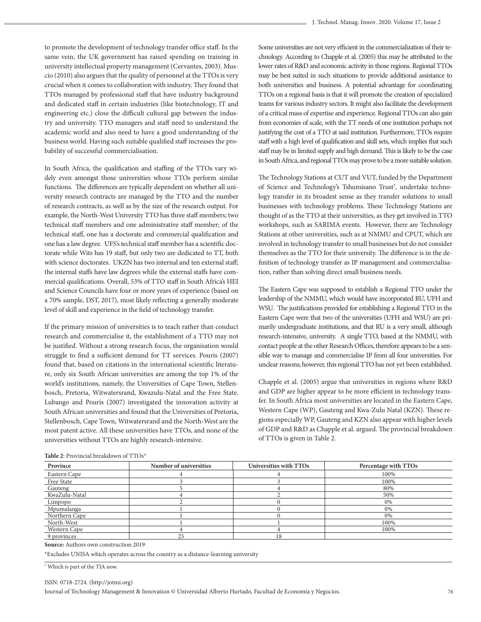to promote the development of technology transfer office staff. In the same vein, the UK government has raised spending on training in university intellectual property management (Cervantes, 2003). Muscio (2010) also argues that the quality of personnel at the TTOs is very crucial when it comes to collaboration with industry. They found that TTOs managed by professional staff that have industry background and dedicated staff in certain industries (like biotechnology, IT and engineering etc.) close the difficult cultural gap between the industry and university. TTO managers and staff need to understand the academic world and also need to have a good understanding of the business world. Having such suitable qualified staff increases the probability of successful commercialisation.

In South Africa, the qualification and staffing of the TTOs vary widely even amongst those universities whose TTOs perform similar functions. The differences are typically dependent on whether all university research contracts are managed by the TTO and the number of research contracts, as well as by the size of the research output. For example, the North-West University TTO has three staff members; two technical staff members and one administrative staff member; of the technical staff, one has a doctorate and commercial qualification and one has a law degree. UFS's technical staff member has a scientific doctorate while Wits has 19 staff, but only two are dedicated to TT, both with science doctorates. UKZN has two internal and ten external staff; the internal staffs have law degrees while the external staffs have commercial qualifications. Overall, 53% of TTO staff in South Africa's HEI and Science Councils have four or more years of experience (based on a 70% sample, DST, 2017), most likely reflecting a generally moderate level of skill and experience in the field of technology transfer.

If the primary mission of universities is to teach rather than conduct research and commercialise it, the establishment of a TTO may not be justified. Without a strong research focus, the organisation would struggle to find a sufficient demand for TT services. Pouris (2007) found that, based on citations in the international scientific literature, only six South African universities are among the top 1% of the world's institutions, namely, the Universities of Cape Town, Stellenbosch, Pretoria, Witwatersrand, Kwazulu-Natal and the Free State. Lubango and Pouris (2007) investigated the innovation activity at South African universities and found that the Universities of Pretoria, Stellenbosch, Cape Town, Witwatersrand and the North-West are the most patent active. All these universities have TTOs, and none of the universities without TTOs are highly research-intensive.

Some universities are not very efficient in the commercialization of their technology. According to Chapple et al. (2005) this may be attributed to the lower rates of R&D and economic activity in those regions. Regional TTOs may be best suited in such situations to provide additional assistance to both universities and business. A potential advantage for coordinating TTOs on a regional basis is that it will promote the creation of specialized teams for various industry sectors. It might also facilitate the development of a critical mass of expertise and experience. Regional TTOs can also gain from economies of scale, with the TT needs of one institution perhaps not justifying the cost of a TTO at said institution. Furthermore, TTOs require staff with a high level of qualification and skill sets, which implies that such staff may be in limited supply and high demand. This is likely to be the case in South Africa, and regional TTOs may prove to be a more suitable solution.

The Technology Stations at CUT and VUT, funded by the Department of Science and Technology's Tshumisano Trust<sup>7</sup>, undertake technology transfer in its broadest sense as they transfer solutions to small businesses with technology problems. These Technology Stations are thought of as the TTO at their universities, as they get involved in TTO workshops, such as SARIMA events. However, there are Technology Stations at other universities, such as at NMMU and CPUT, which are involved in technology transfer to small businesses but do not consider themselves as the TTO for their university. The difference is in the definition of technology transfer as IP management and commercialisation, rather than solving direct small business needs.

The Eastern Cape was supposed to establish a Regional TTO under the leadership of the NMMU, which would have incorporated RU, UFH and WSU. The justifications provided for establishing a Regional TTO in the Eastern Cape were that two of the universities (UFH and WSU) are primarily undergraduate institutions, and that RU is a very small, although research-intensive, university. A single TTO, based at the NMMU, with contact people at the other Research Offices, therefore appears to be a sensible way to manage and commercialise IP from all four universities. For unclear reasons; however, this regional TTO has not yet been established.

Chapple et al. (2005) argue that universities in regions where R&D and GDP are higher appear to be more efficient in technology transfer. In South Africa most universities are located in the Eastern Cape, Western Cape (WP), Gauteng and Kwa-Zulu Natal (KZN). These regions especially WP, Gauteng and KZN also appear with higher levels of GDP and R&D as Chapple et al. argued. The provincial breakdown of TTOs is given in Table 2.

| <b>Table 2:</b> Provincial Dieardown of TTOS |                        |                        |                      |  |
|----------------------------------------------|------------------------|------------------------|----------------------|--|
| Province                                     | Number of universities | Universities with TTOs | Percentage with TTOs |  |
| Eastern Cape                                 |                        |                        | 100%                 |  |
| Free State                                   |                        |                        | 100%                 |  |
| Gauteng                                      |                        |                        | 80%                  |  |
| KwaZulu-Natal                                |                        |                        | 50%                  |  |
| Limpopo                                      |                        |                        | 0%                   |  |
| Mpumalanga                                   |                        |                        | 0%                   |  |
| Northern Cape                                |                        |                        | 0%                   |  |
| North-West                                   |                        |                        | 100%                 |  |
| Western Cape                                 |                        |                        | 100%                 |  |
| 9 provinces                                  | 25                     | 18                     |                      |  |

**Table 2**: Provincial breakdown of TTOs\*

\*Excludes UNISA which operates across the country as a distance-learning university

**Source:** Authors own construction 2019

7 Which is part of the TIA now.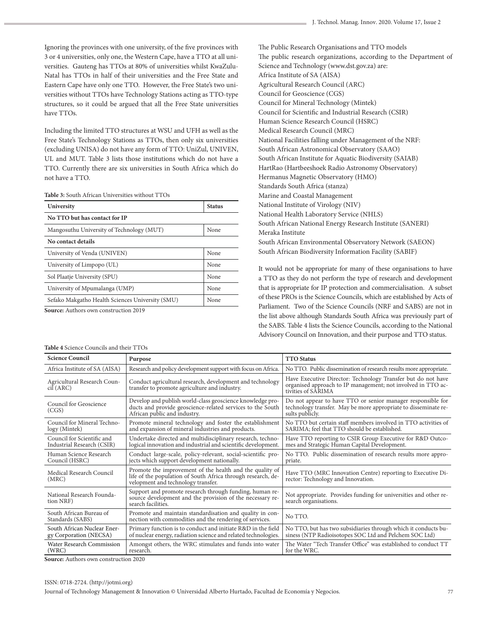Ignoring the provinces with one university, of the five provinces with 3 or 4 universities, only one, the Western Cape, have a TTO at all universities. Gauteng has TTOs at 80% of universities whilst KwaZulu-Natal has TTOs in half of their universities and the Free State and Eastern Cape have only one TTO. However, the Free State's two universities without TTOs have Technology Stations acting as TTO-type structures, so it could be argued that all the Free State universities have TTOs.

Including the limited TTO structures at WSU and UFH as well as the Free State's Technology Stations as TTOs, then only six universities (excluding UNISA) do not have any form of TTO: UniZul, UNIVEN, UL and MUT. Table 3 lists those institutions which do not have a TTO. Currently there are six universities in South Africa which do not have a TTO.

**Table 3:** South African Universities without TTOs

| University                                               | <b>Status</b> |
|----------------------------------------------------------|---------------|
| No TTO but has contact for IP                            |               |
| Mangosuthu University of Technology (MUT)                | None          |
| No contact details                                       |               |
| University of Venda (UNIVEN)                             | None          |
| University of Limpopo (UL)                               | None          |
| Sol Plaatje University (SPU)                             | None          |
| University of Mpumalanga (UMP)                           | None          |
| Sefako Makgatho Health Sciences University (SMU)<br>None |               |
| Counsel Authorization construction 2010                  |               |

**Source:** Authors own construction 2019

**Table 4** Science Councils and their TTOs

| The Public Research Organisations and TTO models                  |
|-------------------------------------------------------------------|
| The public research organizations, according to the Department of |
| Science and Technology (www.dst.gov.za) are:                      |
| Africa Institute of SA (AISA)                                     |
| Agricultural Research Council (ARC)                               |
| Council for Geoscience (CGS)                                      |
| Council for Mineral Technology (Mintek)                           |
| Council for Scientific and Industrial Research (CSIR)             |
| Human Science Research Council (HSRC)                             |
| Medical Research Council (MRC)                                    |
| National Facilities falling under Management of the NRF:          |
| South African Astronomical Observatory (SAAO)                     |
| South African Institute for Aquatic Biodiversity (SAIAB)          |
| HartRao (Hartbeeshoek Radio Astronomy Observatory)                |
| Hermanus Magnetic Observatory (HMO)                               |
| Standards South Africa (stanza)                                   |
| Marine and Coastal Management                                     |
| National Institute of Virology (NIV)                              |
| National Health Laboratory Service (NHLS)                         |
| South African National Energy Research Institute (SANERI)         |
| Meraka Institute                                                  |
| South African Environmental Observatory Network (SAEON)           |
| South African Biodiversity Information Facility (SABIF)           |

It would not be appropriate for many of these organisations to have a TTO as they do not perform the type of research and development that is appropriate for IP protection and commercialisation. A subset of these PROs is the Science Councils, which are established by Acts of Parliament. Two of the Science Councils (NRF and SABS) are not in the list above although Standards South Africa was previously part of the SABS. Table 4 lists the Science Councils, according to the National Advisory Council on Innovation, and their purpose and TTO status.

| <b>Science Council</b>                                   | Purpose                                                                                                                                                        | <b>TTO Status</b>                                                                                                                                  |  |  |
|----------------------------------------------------------|----------------------------------------------------------------------------------------------------------------------------------------------------------------|----------------------------------------------------------------------------------------------------------------------------------------------------|--|--|
| Africa Institute of SA (AISA)                            | Research and policy development support with focus on Africa.                                                                                                  | No TTO. Public dissemination of research results more appropriate.                                                                                 |  |  |
| Agricultural Research Coun-<br>cil (ARC)                 | Conduct agricultural research, development and technology<br>transfer to promote agriculture and industry.                                                     | Have Executive Director: Technology Transfer but do not have<br>organised approach to IP management; not involved in TTO ac-<br>tivities of SARIMA |  |  |
| Council for Geoscience<br>(CGS)                          | Develop and publish world-class geoscience knowledge pro-<br>ducts and provide geoscience-related services to the South<br>African public and industry.        | Do not appear to have TTO or senior manager responsible for<br>technology transfer. May be more appropriate to disseminate re-<br>sults publicly.  |  |  |
| Council for Mineral Techno-<br>logy (Mintek)             | Promote mineral technology and foster the establishment<br>and expansion of mineral industries and products.                                                   | No TTO but certain staff members involved in TTO activities of<br>SARIMA; feel that TTO should be established.                                     |  |  |
| Council for Scientific and<br>Industrial Research (CSIR) | Undertake directed and multidisciplinary research, techno-<br>logical innovation and industrial and scientific development.                                    | Have TTO reporting to CSIR Group Executive for R&D Outco-<br>mes and Strategic Human Capital Development.                                          |  |  |
| Human Science Research<br>Council (HSRC)                 | Conduct large-scale, policy-relevant, social-scientific pro-<br>jects which support development nationally.                                                    | No TTO. Public dissemination of research results more appro-<br>priate.                                                                            |  |  |
| Medical Research Council<br>(MRC)                        | Promote the improvement of the health and the quality of<br>life of the population of South Africa through research, de-<br>velopment and technology transfer. | Have TTO (MRC Innovation Centre) reporting to Executive Di-<br>rector: Technology and Innovation.                                                  |  |  |
| National Research Founda-<br>tion NRF)                   | Support and promote research through funding, human re-<br>source development and the provision of the necessary re-<br>search facilities.                     | Not appropriate. Provides funding for universities and other re-<br>search organisations.                                                          |  |  |
| South African Bureau of<br>Standards (SABS)              | Promote and maintain standardisation and quality in con-<br>nection with commodities and the rendering of services.                                            | No TTO.                                                                                                                                            |  |  |
| South African Nuclear Ener-<br>gy Corporation (NECSA)    | Primary function is to conduct and initiate R&D in the field<br>of nuclear energy, radiation science and related technologies.                                 | No TTO, but has two subsidiaries through which it conducts bu-<br>siness (NTP Radioisotopes SOC Ltd and Pelchem SOC Ltd)                           |  |  |
| Water Research Commission<br>(WRC)                       | Amongst others, the WRC stimulates and funds into water<br>research.                                                                                           | The Water "Tech Transfer Office" was established to conduct TT<br>for the WRC.                                                                     |  |  |

**Source:** Authors own construction 2020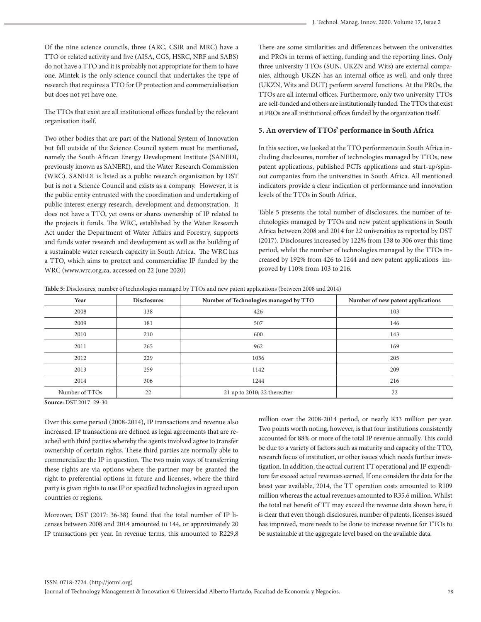Of the nine science councils, three (ARC, CSIR and MRC) have a TTO or related activity and five (AISA, CGS, HSRC, NRF and SABS) do not have a TTO and it is probably not appropriate for them to have one. Mintek is the only science council that undertakes the type of research that requires a TTO for IP protection and commercialisation but does not yet have one.

## The TTOs that exist are all institutional offices funded by the relevant organisation itself.

Two other bodies that are part of the National System of Innovation but fall outside of the Science Council system must be mentioned, namely the South African Energy Development Institute (SANEDI, previously known as SANERI), and the Water Research Commission (WRC). SANEDI is listed as a public research organisation by DST but is not a Science Council and exists as a company. However, it is the public entity entrusted with the coordination and undertaking of public interest energy research, development and demonstration. It does not have a TTO, yet owns or shares ownership of IP related to the projects it funds. The WRC, established by the Water Research Act under the Department of Water Affairs and Forestry, supports and funds water research and development as well as the building of a sustainable water research capacity in South Africa. The WRC has a TTO, which aims to protect and commercialise IP funded by the WRC (www.wrc.org.za, accessed on 22 June 2020)

There are some similarities and differences between the universities and PROs in terms of setting, funding and the reporting lines. Only three university TTOs (SUN, UKZN and Wits) are external companies, although UKZN has an internal office as well, and only three (UKZN, Wits and DUT) perform several functions. At the PROs, the TTOs are all internal offices. Furthermore, only two university TTOs are self-funded and others are institutionally funded. The TTOs that exist at PROs are all institutional offices funded by the organization itself.

#### **5. An overview of TTOs' performance in South Africa**

In this section, we looked at the TTO performance in South Africa including disclosures, number of technologies managed by TTOs, new patent applications, published PCTs applications and start-up/spinout companies from the universities in South Africa. All mentioned indicators provide a clear indication of performance and innovation levels of the TTOs in South Africa.

Table 5 presents the total number of disclosures, the number of technologies managed by TTOs and new patent applications in South Africa between 2008 and 2014 for 22 universities as reported by DST (2017). Disclosures increased by 122% from 138 to 306 over this time period, whilst the number of technologies managed by the TTOs increased by 192% from 426 to 1244 and new patent applications improved by 110% from 103 to 216.

**Table 5:** Disclosures, number of technologies managed by TTOs and new patent applications (between 2008 and 2014)

| Year           | <b>Disclosures</b> | Number of Technologies managed by TTO | Number of new patent applications |
|----------------|--------------------|---------------------------------------|-----------------------------------|
| 2008           | 138                | 426                                   | 103                               |
| 2009           | 181                | 507                                   | 146                               |
| 2010           | 210                | 600                                   | 143                               |
| 2011           | 265                | 962                                   | 169                               |
| 2012           | 229                | 1056                                  | 205                               |
| 2013           | 259                | 1142                                  | 209                               |
| 2014           | 306                | 1244                                  | 216                               |
| Number of TTOs | 22                 | 21 up to 2010; 22 thereafter          | 22                                |

**Source:** DST 2017: 29-30

Over this same period (2008-2014), IP transactions and revenue also increased. IP transactions are defined as legal agreements that are reached with third parties whereby the agents involved agree to transfer ownership of certain rights. These third parties are normally able to commercialize the IP in question. The two main ways of transferring these rights are via options where the partner may be granted the right to preferential options in future and licenses, where the third party is given rights to use IP or specified technologies in agreed upon countries or regions.

Moreover, DST (2017: 36-38) found that the total number of IP licenses between 2008 and 2014 amounted to 144, or approximately 20 IP transactions per year. In revenue terms, this amounted to R229,8 million over the 2008-2014 period, or nearly R33 million per year. Two points worth noting, however, is that four institutions consistently accounted for 88% or more of the total IP revenue annually. This could be due to a variety of factors such as maturity and capacity of the TTO, research focus of institution, or other issues which needs further investigation. In addition, the actual current TT operational and IP expenditure far exceed actual revenues earned. If one considers the data for the latest year available, 2014, the TT operation costs amounted to R109 million whereas the actual revenues amounted to R35.6 million. Whilst the total net benefit of TT may exceed the revenue data shown here, it is clear that even though disclosures, number of patents, licenses issued has improved, more needs to be done to increase revenue for TTOs to be sustainable at the aggregate level based on the available data.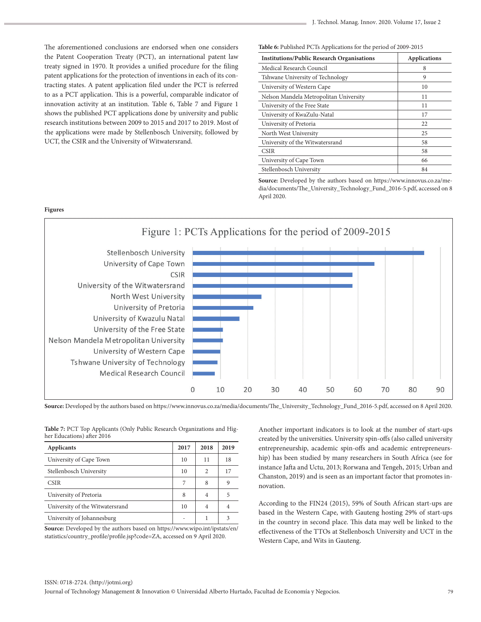The aforementioned conclusions are endorsed when one considers the Patent Cooperation Treaty (PCT), an international patent law treaty signed in 1970. It provides a unified procedure for the filing patent applications for the protection of inventions in each of its contracting states. A patent application filed under the PCT is referred to as a PCT application. This is a powerful, comparable indicator of innovation activity at an institution. Table 6, Table 7 and Figure 1 shows the published PCT applications done by university and public research institutions between 2009 to 2015 and 2017 to 2019. Most of the applications were made by Stellenbosch University, followed by UCT, the CSIR and the University of Witwatersrand.

**Figures**

**Table 6:** Published PCTs Applications for the period of 2009-2015

| <b>Institutions/Public Research Organisations</b> | <b>Applications</b> |
|---------------------------------------------------|---------------------|
| Medical Research Council                          | 8                   |
| Tshwane University of Technology                  | 9                   |
| University of Western Cape                        | 10                  |
| Nelson Mandela Metropolitan University            | 11                  |
| University of the Free State                      | 11                  |
| University of KwaZulu-Natal                       | 17                  |
| University of Pretoria                            | 22                  |
| North West University                             | 25                  |
| University of the Witwatersrand                   | 58                  |
| <b>CSIR</b>                                       | 58                  |
| University of Cape Town                           | 66                  |
| Stellenbosch University                           | 84                  |

Source: Developed by the authors based on https://www.innovus.co.za/media/documents/The\_University\_Technology\_Fund\_2016-5.pdf, accessed on 8 April 2020.



**Source:** Developed by the authors based on https://www.innovus.co.za/media/documents/The\_University\_Technology\_Fund\_2016-5.pdf, accessed on 8 April 2020.

**Table 7:** PCT Top Applicants (Only Public Research Organizations and Higher Educations) after 2016

| <b>Applicants</b>               | 2017 | 2018 | 2019 |
|---------------------------------|------|------|------|
| University of Cape Town         | 10   | 11   | 18   |
| Stellenbosch University         | 10   | 2    | 17   |
| <b>CSIR</b>                     |      | 8    | 9    |
| University of Pretoria          | 8    | 4    | 5    |
| University of the Witwatersrand | 10   | 4    | 4    |
| University of Johannesburg      |      |      | 3    |

**Source:** Developed by the authors based on https://www.wipo.int/ipstats/en/ statistics/country\_profile/profile.jsp?code=ZA, accessed on 9 April 2020.

Another important indicators is to look at the number of start-ups created by the universities. University spin-offs (also called university entrepreneurship, academic spin-offs and academic entrepreneurship) has been studied by many researchers in South Africa (see for instance Jafta and Uctu, 2013; Rorwana and Tengeh, 2015; Urban and Chanston, 2019) and is seen as an important factor that promotes innovation.

According to the FIN24 (2015), 59% of South African start-ups are based in the Western Cape, with Gauteng hosting 29% of start-ups in the country in second place. This data may well be linked to the effectiveness of the TTOs at Stellenbosch University and UCT in the Western Cape, and Wits in Gauteng.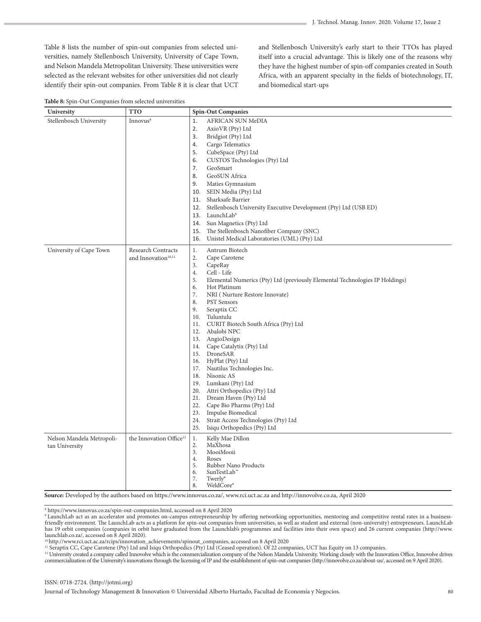Table 8 lists the number of spin-out companies from selected universities, namely Stellenbosch University, University of Cape Town, and Nelson Mandela Metropolitan University. These universities were selected as the relevant websites for other universities did not clearly identify their spin-out companies. From Table 8 it is clear that UCT

and Stellenbosch University's early start to their TTOs has played itself into a crucial advantage. This is likely one of the reasons why they have the highest number of spin-off companies created in South Africa, with an apparent specialty in the fields of biotechnology, IT, and biomedical start-ups

|  |  | Table 8: Spin-Out Companies from selected universities |
|--|--|--------------------------------------------------------|
|--|--|--------------------------------------------------------|

| $\mathbf{r}$<br>$\overline{1}$<br>University | <b>TTO</b>                                            | <b>Spin-Out Companies</b>                                                                                                                                                                                                                                                                                                                                                                                                                                                                                                                                                                                                                                                                                                                                                  |
|----------------------------------------------|-------------------------------------------------------|----------------------------------------------------------------------------------------------------------------------------------------------------------------------------------------------------------------------------------------------------------------------------------------------------------------------------------------------------------------------------------------------------------------------------------------------------------------------------------------------------------------------------------------------------------------------------------------------------------------------------------------------------------------------------------------------------------------------------------------------------------------------------|
| Stellenbosch University                      | Innovus <sup>8</sup>                                  | 1.<br>AFRICAN SUN MeDIA<br>2.<br>AxioVR (Pty) Ltd<br>3.<br>Bridgiot (Pty) Ltd<br>Cargo Telematics<br>4.<br>CubeSpace (Pty) Ltd<br>5.<br>6.<br>CUSTOS Technologies (Pty) Ltd<br>7.<br>GeoSmart<br>GeoSUN Africa<br>8.<br>9.<br>Maties Gymnasium<br>SEIN Media (Pty) Ltd<br>10.<br>Sharksafe Barrier<br>11.<br>12.<br>Stellenbosch University Executive Development (Pty) Ltd (USB ED)<br>13. LaunchLab <sup>9</sup><br>14. Sun Magnetics (Pty) Ltd<br>The Stellenbosch Nanofiber Company (SNC)<br>15.<br>Unistel Medical Laboratories (UML) (Pty) Ltd<br>16.                                                                                                                                                                                                                |
| University of Cape Town                      | Research Contracts<br>and Innovation <sup>10,11</sup> | 1.<br>Antrum Biotech<br>2.<br>Cape Carotene<br>3.<br>CapeRay<br>4.<br>Cell - Life<br>5.<br>Elemental Numerics (Pty) Ltd (previously Elemental Technologies IP Holdings)<br>Hot Platinum<br>6.<br>7.<br>NRI (Nurture Restore Innovate)<br>8.<br><b>PST</b> Sensors<br>9.<br>Seraptix CC<br>Tuluntulu<br>10.<br>CURIT Biotech South Africa (Pty) Ltd<br>11.<br>12. Abalobi NPC<br>13. AngioDesign<br>14. Cape Catalytix (Pty) Ltd<br>15. DroneSAR<br>16. HyPlat (Pty) Ltd<br>17. Nautilus Technologies Inc.<br>18. Nisonic AS<br>19. Lumkani (Pty) Ltd<br>20. Attri Orthopedics (Pty) Ltd<br>Dream Haven (Pty) Ltd<br>21.<br>22.<br>Cape Bio Pharms (Pty) Ltd<br>23. Impulse Biomedical<br>Strait Access Technologies (Pty) Ltd<br>24.<br>25.<br>Isiqu Orthopedics (Pty) Ltd |
| Nelson Mandela Metropoli-<br>tan University  | the Innovation Office <sup>12</sup>                   | Kelly Mae Dillon<br>1.<br>MaXhosa<br>2.<br>3.<br>MooiMooii<br>4.<br>Roses<br>5.<br>Rubber Nano Products<br>6.<br>SunTestLab <sup>™</sup><br>7.<br>Twerly <sup>®</sup><br>8.<br>WeldCore®                                                                                                                                                                                                                                                                                                                                                                                                                                                                                                                                                                                   |

**Source:** Developed by the authors based on https://www.innovus.co.za/, www.rci.uct.ac.za and http://innovolve.co.za, April 2020

8 https://www.innovus.co.za/spin-out-companies.html, accessed on 8 April 2020

9 LaunchLab act as an accelerator and promotes on-campus entrepreneurship by offering networking opportunities, mentoring and competitive rental rates in a businessfriendly environment. The LaunchLab acts as a platform for spin-out companies from universities, as well as student and external (non-university) entrepreneurs. LaunchLab has 19 orbit companies (companies in orbit have graduated from the Launchlab's programmes and facilities into their own space) and 26 current companies (http://www. launchlab.co.za/, accessed on 8 April 2020).

10 http://www.rci.uct.ac.za/rcips/innovation\_achievements/spinout\_companies, accessed on 8 April 2020

<sup>11</sup> Seraptix CC, Cape Carotene (Pty) Ltd and Isiqu Orthopedics (Pty) Ltd (Ceased operation). Of 22 companies, UCT has Equity on 13 companies.

<sup>12</sup> University created a company called Innovolve which is the commercialization company of the Nelson Mandela University. Working closely with the Innovation Office, Innovolve drives commercialization of the University's innovations through the licensing of IP and the establishment of spin-out companies (http://innovolve.co.za/about-us/, accessed on 9 April 2020).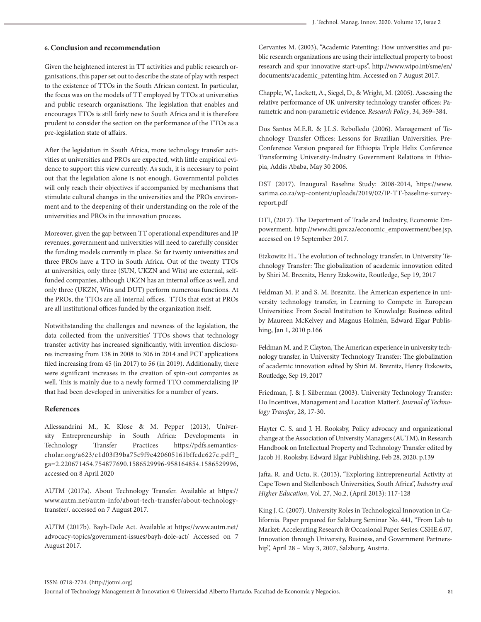#### **6. Conclusion and recommendation**

Given the heightened interest in TT activities and public research organisations, this paper set out to describe the state of play with respect to the existence of TTOs in the South African context. In particular, the focus was on the models of TT employed by TTOs at universities and public research organisations. The legislation that enables and encourages TTOs is still fairly new to South Africa and it is therefore prudent to consider the section on the performance of the TTOs as a pre-legislation state of affairs.

After the legislation in South Africa, more technology transfer activities at universities and PROs are expected, with little empirical evidence to support this view currently. As such, it is necessary to point out that the legislation alone is not enough. Governmental policies will only reach their objectives if accompanied by mechanisms that stimulate cultural changes in the universities and the PROs environment and to the deepening of their understanding on the role of the universities and PROs in the innovation process.

Moreover, given the gap between TT operational expenditures and IP revenues, government and universities will need to carefully consider the funding models currently in place. So far twenty universities and three PROs have a TTO in South Africa. Out of the twenty TTOs at universities, only three (SUN, UKZN and Wits) are external, selffunded companies, although UKZN has an internal office as well, and only three (UKZN, Wits and DUT) perform numerous functions. At the PROs, the TTOs are all internal offices. TTOs that exist at PROs are all institutional offices funded by the organization itself.

Notwithstanding the challenges and newness of the legislation, the data collected from the universities' TTOs shows that technology transfer activity has increased significantly, with invention disclosures increasing from 138 in 2008 to 306 in 2014 and PCT applications filed increasing from 45 (in 2017) to 56 (in 2019). Additionally, there were significant increases in the creation of spin-out companies as well. This is mainly due to a newly formed TTO commercialising IP that had been developed in universities for a number of years.

#### **References**

Allessandrini M., K. Klose & M. Pepper (2013), University Entrepreneurship in South Africa: Developments in Technology Transfer Practices https://pdfs.semanticscholar.org/a623/e1d03f39ba75c9f9e420605161bffcdc627c.pdf?\_ ga=2.220671454.754877690.1586529996-958164854.1586529996, accessed on 8 April 2020

AUTM (2017a). About Technology Transfer. Available at https:// www.autm.net/autm-info/about-tech-transfer/about-technologytransfer/. accessed on 7 August 2017.

AUTM (2017b). Bayh-Dole Act. Available at https://www.autm.net/ advocacy-topics/government-issues/bayh-dole-act/ Accessed on 7 August 2017.

Cervantes M. (2003), "Academic Patenting: How universities and public research organizations are using their intellectual property to boost research and spur innovative start‐ups", http://www.wipo.int/sme/en/ documents/academic\_patenting.htm. Accessed on 7 August 2017.

Chapple, W., Lockett, A., Siegel, D., & Wright, M. (2005). Assessing the relative performance of UK university technology transfer offices: Parametric and non-parametric evidence. *Research Policy*, 34, 369–384.

Dos Santos M.E.R. & J.L.S. Rebolledo (2006). Management of Technology Transfer Offices: Lessons for Brazilian Universities. Pre-Conference Version prepared for Ethiopia Triple Helix Conference Transforming University-Industry Government Relations in Ethiopia, Addis Ababa, May 30 2006.

DST (2017). Inaugural Baseline Study: 2008-2014, https://www. sarima.co.za/wp-content/uploads/2019/02/IP-TT-baseline-surveyreport.pdf

DTI, (2017). The Department of Trade and Industry, Economic Empowerment. http://www.dti.gov.za/economic\_empowerment/bee.jsp, accessed on 19 September 2017.

Etzkowitz H., The evolution of technology transfer, in University Technology Transfer: The globalization of academic innovation edited by Shiri M. Breznitz, Henry Etzkowitz, Routledge, Sep 19, 2017

Feldman M. P. and S. M. Breznitz, The American experience in university technology transfer, in Learning to Compete in European Universities: From Social Institution to Knowledge Business edited by Maureen McKelvey and Magnus Holmén, Edward Elgar Publishing, Jan 1, 2010 p.166

Feldman M. and P. Clayton, The American experience in university technology transfer, in University Technology Transfer: The globalization of academic innovation edited by Shiri M. Breznitz, Henry Etzkowitz, Routledge, Sep 19, 2017

Friedman, J. & J. Silberman (2003). University Technology Transfer: Do Incentives, Management and Location Matter?. *Journal of Technology Transfer*, 28, 17-30.

Hayter C. S. and J. H. Rooksby, Policy advocacy and organizational change at the Association of University Managers (AUTM), in Research Handbook on Intellectual Property and Technology Transfer edited by Jacob H. Rooksby, Edward Elgar Publishing, Feb 28, 2020, p.139

Jafta, R. and Uctu, R. (2013), "Exploring Entrepreneurial Activity at Cape Town and Stellenbosch Universities, South Africa", *Industry and Higher Education*, Vol. 27, No.2, (April 2013): 117-128

King J. C. (2007). University Roles in Technological Innovation in California. Paper prepared for Salzburg Seminar No. 441, "From Lab to Market: Accelerating Research & Occasional Paper Series: CSHE.6.07, Innovation through University, Business, and Government Partnership", April 28 – May 3, 2007, Salzburg, Austria.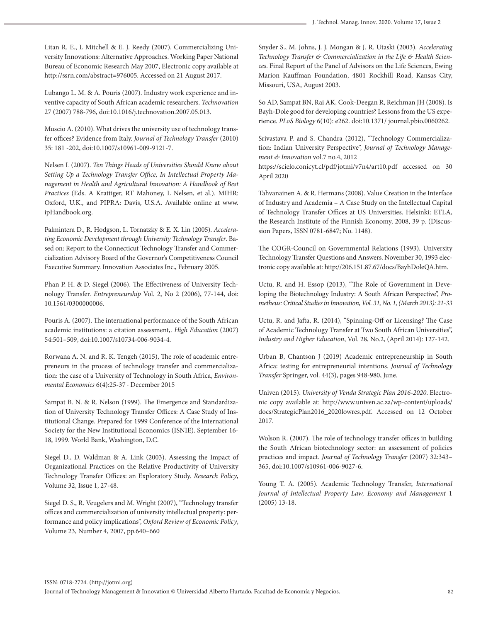Litan R. E., L Mitchell & E. J. Reedy (2007). Commercializing University Innovations: Alternative Approaches. Working Paper National Bureau of Economic Research May 2007, Electronic copy available at http://ssrn.com/abstract=976005. Accessed on 21 August 2017.

Lubango L. M. & A. Pouris (2007). Industry work experience and inventive capacity of South African academic researchers. *Technovation* 27 (2007) 788-796, doi:10.1016/j.technovation.2007.05.013.

Muscio A. (2010). What drives the university use of technology transfer offices? Evidence from Italy. *Journal of Technology Transfer* (2010) 35: 181 -202, doi:10.1007/s10961-009-9121-7.

Nelsen L (2007). *Ten Things Heads of Universities Should Know about Setting Up a Technology Transfer Office, In Intellectual Property Management in Health and Agricultural Innovation: A Handbook of Best Practices* (Eds. A Krattiger, RT Mahoney, L Nelsen, et al.). MIHR: Oxford, U.K., and PIPRA: Davis, U.S.A. Available online at www. ipHandbook.org.

Palmintera D., R. Hodgson, L. Tornatzky & E. X. Lin (2005). *Accelerating Economic Development through University Technology Transfer*. Based on: Report to the Connecticut Technology Transfer and Commercialization Advisory Board of the Governor's Competitiveness Council Executive Summary. Innovation Associates Inc., February 2005.

Phan P. H. & D. Siegel (2006). The Effectiveness of University Technology Transfer. *Entrepreneurship* Vol. 2, No 2 (2006), 77-144, doi: 10.1561/0300000006.

Pouris A. (2007). The international performance of the South African academic institutions: a citation assessment,. *High Education* (2007) 54:501–509, doi:10.1007/s10734-006-9034-4.

Rorwana A. N. and R. K. Tengeh (2015), The role of academic entrepreneurs in the process of technology transfer and commercialization: the case of a University of Technology in South Africa, *Environmental Economics* 6(4):25-37 · December 2015

Sampat B. N. & R. Nelson (1999). The Emergence and Standardization of University Technology Transfer Offices: A Case Study of Institutional Change. Prepared for 1999 Conference of the International Society for the New Institutional Economics (ISNIE). September 16- 18, 1999. World Bank, Washington, D.C.

Siegel D., D. Waldman & A. Link (2003). Assessing the Impact of Organizational Practices on the Relative Productivity of University Technology Transfer Offices: an Exploratory Study. *Research Policy*, Volume 32, Issue 1, 27-48.

Siegel D. S., R. Veugelers and M. Wright (2007), "Technology transfer offices and commercialization of university intellectual property: performance and policy implications", *Oxford Review of Economic Policy*, Volume 23, Number 4, 2007, pp.640–660

Snyder S., M. Johns, J. J. Mongan & J. R. Utaski (2003). *Accelerating Technology Transfer & Commercialization in the Life & Health Sciences*. Final Report of the Panel of Advisors on the Life Sciences, Ewing Marion Kauffman Foundation, 4801 Rockhill Road, Kansas City, Missouri, USA, August 2003.

So AD, Sampat BN, Rai AK, Cook-Deegan R, Reichman JH (2008). Is Bayh-Dole good for developing countries? Lessons from the US experience. *PLoS Biology* 6(10): e262. doi:10.1371/ journal.pbio.0060262.

Srivastava P. and S. Chandra (2012), "Technology Commercialization: Indian University Perspective", *Journal of Technology Management & Innovation* vol.7 no.4, 2012

https://scielo.conicyt.cl/pdf/jotmi/v7n4/art10.pdf accessed on 30 April 2020

Tahvanainen A. & R. Hermans (2008). Value Creation in the Interface of Industry and Academia – A Case Study on the Intellectual Capital of Technology Transfer Offices at US Universities. Helsinki: ETLA, the Research Institute of the Finnish Economy, 2008, 39 p. (Discussion Papers, ISSN 0781-6847; No. 1148).

The COGR-Council on Governmental Relations (1993). University Technology Transfer Questions and Answers. November 30, 1993 electronic copy available at: http://206.151.87.67/docs/BayhDoleQA.htm.

Uctu, R. and H. Essop (2013), "The Role of Government in Developing the Biotechnology Industry: A South African Perspective", *Prometheus: Critical Studies in Innovation, Vol. 31, No. 1, (March 2013): 21-33*

Uctu, R. and Jafta, R. (2014), "Spinning-Off or Licensing? The Case of Academic Technology Transfer at Two South African Universities", *Industry and Higher Education*, Vol. 28, No.2, (April 2014): 127-142.

Urban B, Chantson J (2019) Academic entrepreneurship in South Africa: testing for entrepreneurial intentions. *Journal of Technology Transfer* Springer, vol. 44(3), pages 948-980, June.

Univen (2015). *University of Venda Strategic Plan 2016-2020*. Electronic copy available at: http://www.univen.ac.za/wp-content/uploads/ docs/StrategicPlan2016\_2020lowres.pdf. Accessed on 12 October 2017.

Wolson R. (2007). The role of technology transfer offices in building the South African biotechnology sector: an assessment of policies practices and impact. *Journal of Technology Transfer* (2007) 32:343– 365, doi:10.1007/s10961-006-9027-6.

Young T. A. (2005). Academic Technology Transfer, *International Journal of Intellectual Property Law, Economy and Management* 1 (2005) 13-18.